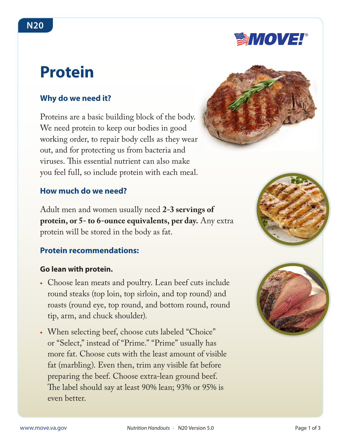# **Protein**

# **Why do we need it?**

Proteins are a basic building block of the body. We need protein to keep our bodies in good working order, to repair body cells as they wear out, and for protecting us from bacteria and viruses. This essential nutrient can also make you feel full, so include protein with each meal.

### **How much do we need?**

Adult men and women usually need **2-3 servings of protein, or 5- to 6-ounce equivalents, per day.** Any extra protein will be stored in the body as fat.

## **Protein recommendations:**

#### **Go lean with protein.**

- **•**  Choose lean meats and poultry. Lean beef cuts include round steaks (top loin, top sirloin, and top round) and roasts (round eye, top round, and bottom round, round tip, arm, and chuck shoulder).
- When selecting beef, choose cuts labeled "Choice" or "Select," instead of "Prime." "Prime" usually has more fat. Choose cuts with the least amount of visible fat (marbling). Even then, trim any visible fat before preparing the beef. Choose extra-lean ground beef. The label should say at least 90% lean; 93% or 95% is even better.







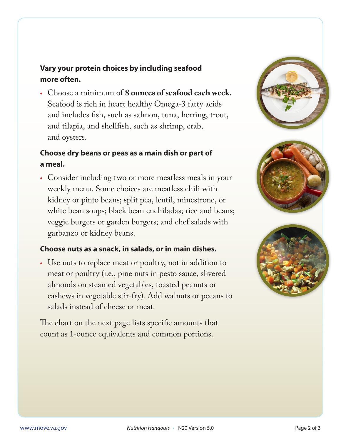# **Vary your protein choices by including seafood more often.**

**•**  Choose a minimum of **8 ounces of seafood each week.** Seafood is rich in heart healthy Omega-3 fatty acids and includes fish, such as salmon, tuna, herring, trout, and tilapia, and shellfish, such as shrimp, crab, and oysters.

## **Choose dry beans or peas as a main dish or part of a meal.**

**•**  Consider including two or more meatless meals in your weekly menu. Some choices are meatless chili with kidney or pinto beans; split pea, lentil, minestrone, or white bean soups; black bean enchiladas; rice and beans; veggie burgers or garden burgers; and chef salads with garbanzo or kidney beans.

#### **Choose nuts as a snack, in salads, or in main dishes.**

• Use nuts to replace meat or poultry, not in addition to meat or poultry (i.e., pine nuts in pesto sauce, slivered almonds on steamed vegetables, toasted peanuts or cashews in vegetable stir-fry). Add walnuts or pecans to salads instead of cheese or meat.

The chart on the next page lists specific amounts that count as 1-ounce equivalents and common portions.

![](_page_1_Picture_7.jpeg)